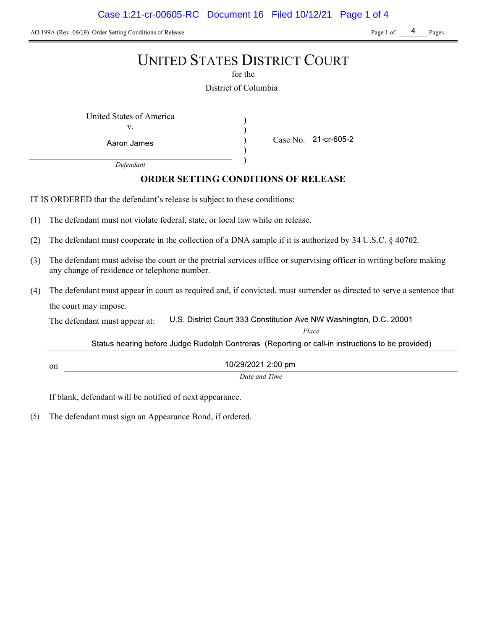Case 1:21-cr-00605-RC Document 16 Filed 10/12/21 Page 1 of 4

AO 199A (Rev. 06/19) Order Setting Conditions of Release Page 1 of Page 1 of Page 1 of Pages

## UNITED STATES DISTRICT COURT

for the

District of Columbia

) ) ) )

United States of America (1992) v.

Aaron James

Case No. 21-cr-605-2

Place

Defendant

## ORDER SETTING CONDITIONS OF RELEASE

IT IS ORDERED that the defendant's release is subject to these conditions:

- $(1)$ The defendant must not violate federal, state, or local law while on release.
- $(2)$ The defendant must cooperate in the collection of a DNA sample if it is authorized by  $34 \text{ U.S.C.}$   $\S$  40702.
- The defendant must advise the court or the pretrial services office or supervising officer in writing before making any change of residence or telephone number.
- The defendant must appear in court as required and, if convicted, must surrender as directed to serve a sentence that the court may impose.

U.S. District Court 333 Constitution Ave NW Washington, D.C. 20001 The defendant must appear at:

Status hearing before Judge Rudolph Contreras (Reporting or call-in instructions to be provided)

10/29/2021 2:00 pm

Date and Time

If blank, defendant will be notified of next appearance.

on

(5) The defendant must sign an Appearance Bond, if ordered.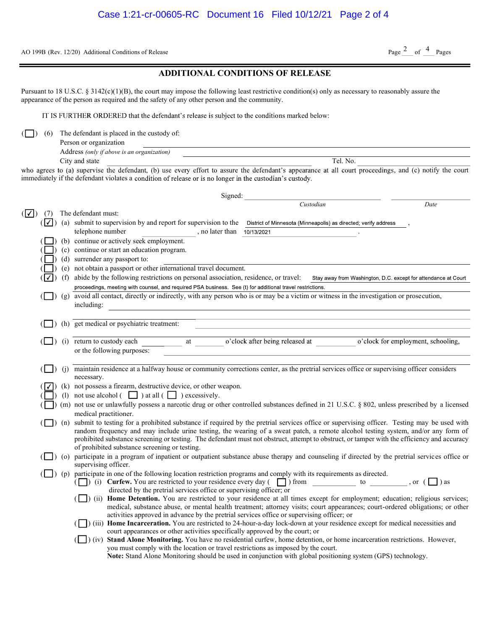AO 199B (Rev. 12/20) Additional Conditions of Release

## ADDITIONAL CONDITIONS OF RELEASE

Pursuant to 18 U.S.C. § 3142(c)(1)(B), the court may impose the following least restrictive condition(s) only as necessary to reasonably assure the appearance of the person as required and the safety of any other person and the community.

IT IS FURTHER ORDERED that the defendant's release is subject to the conditions marked below:

 $\Box$ ) (6) The defendant is placed in the custody of:

| Person or organization                     |          |
|--------------------------------------------|----------|
| Address (only if above is an organization) |          |
| City and state                             | Tel. No. |

who agrees to (a) supervise the defendant, (b) use every effort to assure the defendant's appearance at all court proceedings, and (c) notify the court immediately if the defendant violates a condition of release or is no longer in the custodian's custody.

| Signed:             |            |            |                                                                                                                                                                                                                                                                                                                                                            |  |  |  |
|---------------------|------------|------------|------------------------------------------------------------------------------------------------------------------------------------------------------------------------------------------------------------------------------------------------------------------------------------------------------------------------------------------------------------|--|--|--|
|                     |            |            | Custodian<br>Date                                                                                                                                                                                                                                                                                                                                          |  |  |  |
| $(\overline{\vee})$ | (7)        |            | The defendant must:                                                                                                                                                                                                                                                                                                                                        |  |  |  |
|                     | $( \vee )$ |            | (a) submit to supervision by and report for supervision to the District of Minnesota (Minneapolis) as directed; verify address                                                                                                                                                                                                                             |  |  |  |
|                     |            |            | telephone number<br>, no later than<br>10/13/2021                                                                                                                                                                                                                                                                                                          |  |  |  |
|                     |            |            | (b) continue or actively seek employment.                                                                                                                                                                                                                                                                                                                  |  |  |  |
|                     |            |            | (c) continue or start an education program.                                                                                                                                                                                                                                                                                                                |  |  |  |
|                     |            |            | (d) surrender any passport to:                                                                                                                                                                                                                                                                                                                             |  |  |  |
|                     |            |            | (e) not obtain a passport or other international travel document.                                                                                                                                                                                                                                                                                          |  |  |  |
|                     |            | (f)        | abide by the following restrictions on personal association, residence, or travel:<br>Stay away from Washington, D.C. except for attendance at Court                                                                                                                                                                                                       |  |  |  |
|                     |            |            | proceedings, meeting with counsel, and required PSA business. See (t) for additional travel restrictions.                                                                                                                                                                                                                                                  |  |  |  |
|                     |            | $\int$ (g) | avoid all contact, directly or indirectly, with any person who is or may be a victim or witness in the investigation or prosecution,                                                                                                                                                                                                                       |  |  |  |
|                     |            |            | including:                                                                                                                                                                                                                                                                                                                                                 |  |  |  |
|                     |            |            |                                                                                                                                                                                                                                                                                                                                                            |  |  |  |
|                     |            |            | (h) get medical or psychiatric treatment:                                                                                                                                                                                                                                                                                                                  |  |  |  |
|                     |            |            | o'clock after being released at o'clock for employment, schooling,<br>(i) return to custody each<br>at                                                                                                                                                                                                                                                     |  |  |  |
|                     |            |            | or the following purposes:                                                                                                                                                                                                                                                                                                                                 |  |  |  |
|                     |            |            |                                                                                                                                                                                                                                                                                                                                                            |  |  |  |
|                     |            |            | (j) maintain residence at a halfway house or community corrections center, as the pretrial services office or supervising officer considers                                                                                                                                                                                                                |  |  |  |
|                     |            |            | necessary.                                                                                                                                                                                                                                                                                                                                                 |  |  |  |
|                     |            |            | (k) not possess a firearm, destructive device, or other weapon.                                                                                                                                                                                                                                                                                            |  |  |  |
|                     |            |            | (1) not use alcohol $\begin{pmatrix} \square \\ \square \end{pmatrix}$ at all $\begin{pmatrix} \square \\ \square \end{pmatrix}$ excessively.                                                                                                                                                                                                              |  |  |  |
|                     |            |            | (m) not use or unlawfully possess a narcotic drug or other controlled substances defined in 21 U.S.C. § 802, unless prescribed by a licensed                                                                                                                                                                                                               |  |  |  |
|                     |            |            | medical practitioner.                                                                                                                                                                                                                                                                                                                                      |  |  |  |
|                     |            |            | (n) submit to testing for a prohibited substance if required by the pretrial services office or supervising officer. Testing may be used with                                                                                                                                                                                                              |  |  |  |
|                     |            |            | random frequency and may include urine testing, the wearing of a sweat patch, a remote alcohol testing system, and/or any form of                                                                                                                                                                                                                          |  |  |  |
|                     |            |            | prohibited substance screening or testing. The defendant must not obstruct, attempt to obstruct, or tamper with the efficiency and accuracy                                                                                                                                                                                                                |  |  |  |
|                     |            |            | of prohibited substance screening or testing.                                                                                                                                                                                                                                                                                                              |  |  |  |
|                     |            |            | (o) participate in a program of inpatient or outpatient substance abuse therapy and counseling if directed by the pretrial services office or                                                                                                                                                                                                              |  |  |  |
|                     |            |            | supervising officer.                                                                                                                                                                                                                                                                                                                                       |  |  |  |
|                     |            |            | (p) participate in one of the following location restriction programs and comply with its requirements as directed.<br>( ) (i) Curfew. You are restricted to your residence every day ( $\Box$ ) from to be considered to your residence every day ( $\Box$ ) from to consider the constant of the constant of the constant of the constant of the constan |  |  |  |
|                     |            |            | directed by the pretrial services office or supervising officer; or                                                                                                                                                                                                                                                                                        |  |  |  |
|                     |            |            | (ii) Home Detention. You are restricted to your residence at all times except for employment; education; religious services;                                                                                                                                                                                                                               |  |  |  |
|                     |            |            | medical, substance abuse, or mental health treatment; attorney visits; court appearances; court-ordered obligations; or other                                                                                                                                                                                                                              |  |  |  |
|                     |            |            | activities approved in advance by the pretrial services office or supervising officer; or                                                                                                                                                                                                                                                                  |  |  |  |
|                     |            |            | (iii) Home Incarceration. You are restricted to 24-hour-a-day lock-down at your residence except for medical necessities and                                                                                                                                                                                                                               |  |  |  |
|                     |            |            | court appearances or other activities specifically approved by the court; or                                                                                                                                                                                                                                                                               |  |  |  |
|                     |            |            | (iv) Stand Alone Monitoring. You have no residential curfew, home detention, or home incarceration restrictions. However,<br>you must comply with the location or travel restrictions as imposed by the court.                                                                                                                                             |  |  |  |
|                     |            |            | Note: Stand Alone Monitoring should be used in conjunction with global positioning system (GPS) technology.                                                                                                                                                                                                                                                |  |  |  |
|                     |            |            |                                                                                                                                                                                                                                                                                                                                                            |  |  |  |

Page  $2$  of  $4$  Pages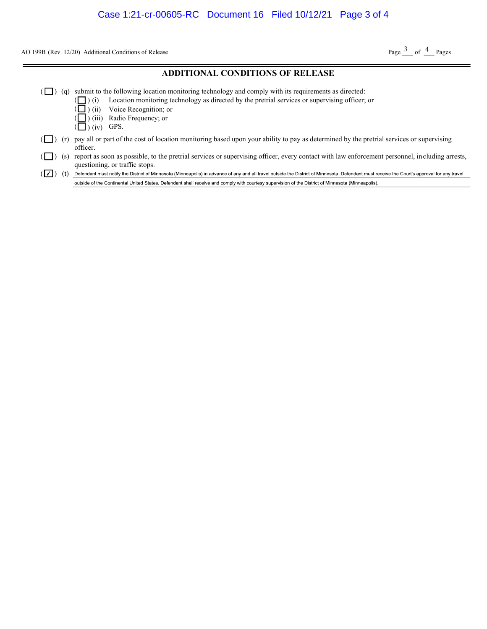AO 199B (Rev. 12/20) Additional Conditions of Release

Page  $3$  of  $4$  Pages

#### ADDITIONAL CONDITIONS OF RELEASE

- $(\Box)$  (q) submit to the following location monitoring technology and comply with its requirements as directed:
	- ( ) (i) Location monitoring technology as directed by the pretrial services or supervising officer; or
		- ) (ii) Voice Recognition; or
		- ) (iii) Radio Frequency; or
	- $\left(\Box\right)$  (iv) GPS.

( (

- $(\Box)$  (r) pay all or part of the cost of location monitoring based upon your ability to pay as determined by the pretrial services or supervising officer.
- ( $\Box$ ) (s) report as soon as possible, to the pretrial services or supervising officer, every contact with law enforcement personnel, including arrests, questioning, or traffic stops.

( $\boxed{\checkmark}$ ) (t) Defendant must notify the District of Minnesota (Minneapolis) in advance of any and all travel outside the District of Minnesota. Defendant must receive the Court's approval for any travel outside of the Continental United States. Defendant shall receive and comply with courtesy supervision of the District of Minnesota (Minneapolis).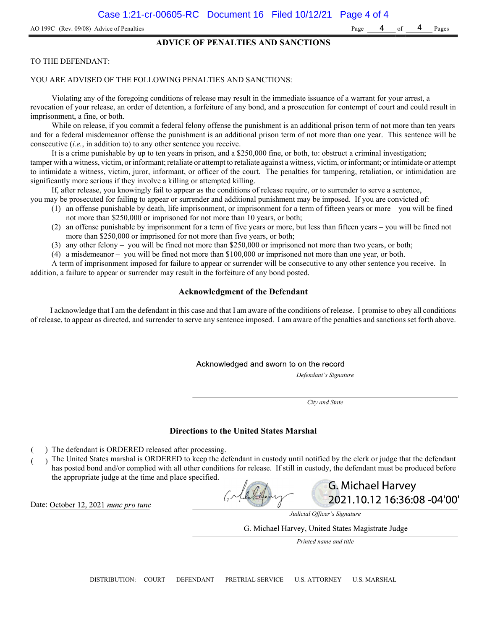#### ADVICE OF PENALTIES AND SANCTIONS

#### TO THE DEFENDANT:

#### YOU ARE ADVISED OF THE FOLLOWING PENALTIES AND SANCTIONS:

Violating any of the foregoing conditions of release may result in the immediate issuance of a warrant for your arrest, a revocation of your release, an order of detention, a forfeiture of any bond, and a prosecution for contempt of court and could result in imprisonment, a fine, or both.

While on release, if you commit a federal felony offense the punishment is an additional prison term of not more than ten years and for a federal misdemeanor offense the punishment is an additional prison term of not more than one year. This sentence will be consecutive (i.e., in addition to) to any other sentence you receive.

It is a crime punishable by up to ten years in prison, and a \$250,000 fine, or both, to: obstruct a criminal investigation; tamper with a witness, victim, or informant; retaliate or attempt to retaliate against a witness, victim, or informant; or intimidate or attempt to intimidate a witness, victim, juror, informant, or officer of the court. The penalties for tampering, retaliation, or intimidation are significantly more serious if they involve a killing or attempted killing.

If, after release, you knowingly fail to appear as the conditions of release require, or to surrender to serve a sentence,

- you may be prosecuted for failing to appear or surrender and additional punishment may be imposed. If you are convicted of:
	- (1) an offense punishable by death, life imprisonment, or imprisonment for a term of fifteen years or more you will be fined not more than \$250,000 or imprisoned for not more than 10 years, or both;
	- (2) an offense punishable by imprisonment for a term of five years or more, but less than fifteen years you will be fined not more than \$250,000 or imprisoned for not more than five years, or both;
	- (3) any other felony you will be fined not more than \$250,000 or imprisoned not more than two years, or both;
	- (4) a misdemeanor you will be fined not more than \$100,000 or imprisoned not more than one year, or both.

A term of imprisonment imposed for failure to appear or surrender will be consecutive to any other sentence you receive. In addition, a failure to appear or surrender may result in the forfeiture of any bond posted.

#### Acknowledgment of the Defendant

I acknowledge that I am the defendant in this case and that I am aware of the conditions of release. I promise to obey all conditions of release, to appear as directed, and surrender to serve any sentence imposed. I am aware of the penalties and sanctions set forth above.

#### Acknowledged and sworn to on the record

Defendant's Signature

City and State

#### Directions to the United States Marshal

- ) The defendant is ORDERED released after processing.
- The United States marshal is ORDERED to keep the defendant in custody until notified by the clerk or judge that the defendant has posted bond and/or complied with all other conditions for release. If still in custody, the defendant must be produced before the appropriate judge at the time and place specified.

Date: October 12, 2021 nunc pro tunc

Judicial Officer's Signature

**G. Michael Harvey** 

2021.10.12 16:36:08 -04'00'

G. Michael Harvey, United States Magistrate Judge

Printed name and title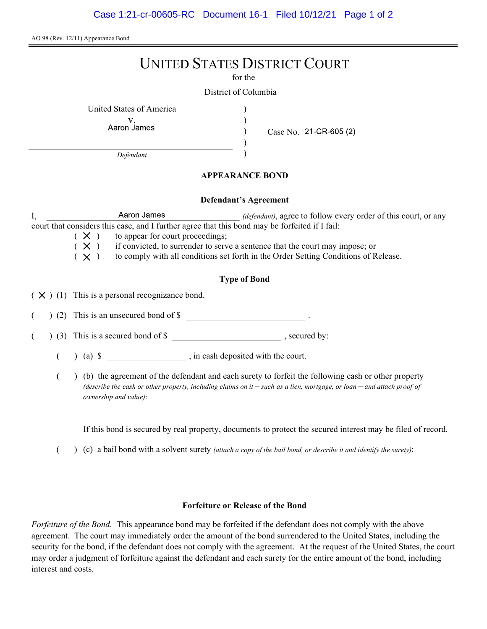AO 98 (Rev. 12/11) Appearance Bond

# UNITED STATES DISTRICT COURT

for the

) ) ) )

District of Columbia

United States of America )

v.<br>Aaron James

Case No. 21-CR-605 (2)

Defendant

## APPEARANCE BOND

### Defendant's Agreement

I, All Allemand And Allemant And Allemant and Allemant and Allemant and Allemant Allemant And Allemant And All court that considers this case, and I further agree that this bond may be forfeited if I fail:

 $(X)$  to appear for court proceedings;<br> $(X)$  if convicted, to surrender to serv  $(X)$  if convicted, to surrender to serve a sentence that the court may impose; or  $(X)$  to comply with all conditions set forth in the Order Setting Conditions of R

to comply with all conditions set forth in the Order Setting Conditions of Release.

## Type of Bond

 $(X)$  (1) This is a personal recognizance bond.

(2) This is an unsecured bond of \$

 $($   $)$  (3) This is a secured bond of \$, secured by:

 $($  ) (a)  $\$  , in cash deposited with the court.

( ) (b) the agreement of the defendant and each surety to forfeit the following cash or other property (describe the cash or other property, including claims on it  $-$  such as a lien, mortgage, or loan  $-$  and attach proof of ownership and value):

If this bond is secured by real property, documents to protect the secured interest may be filed of record.

 $($  )  $(c)$  a bail bond with a solvent surety *(attach a copy of the bail bond, or describe it and identify the surety)*:

### Forfeiture or Release of the Bond

Forfeiture of the Bond. This appearance bond may be forfeited if the defendant does not comply with the above agreement. The court may immediately order the amount of the bond surrendered to the United States, including the security for the bond, if the defendant does not comply with the agreement. At the request of the United States, the court may order a judgment of forfeiture against the defendant and each surety for the entire amount of the bond, including interest and costs.